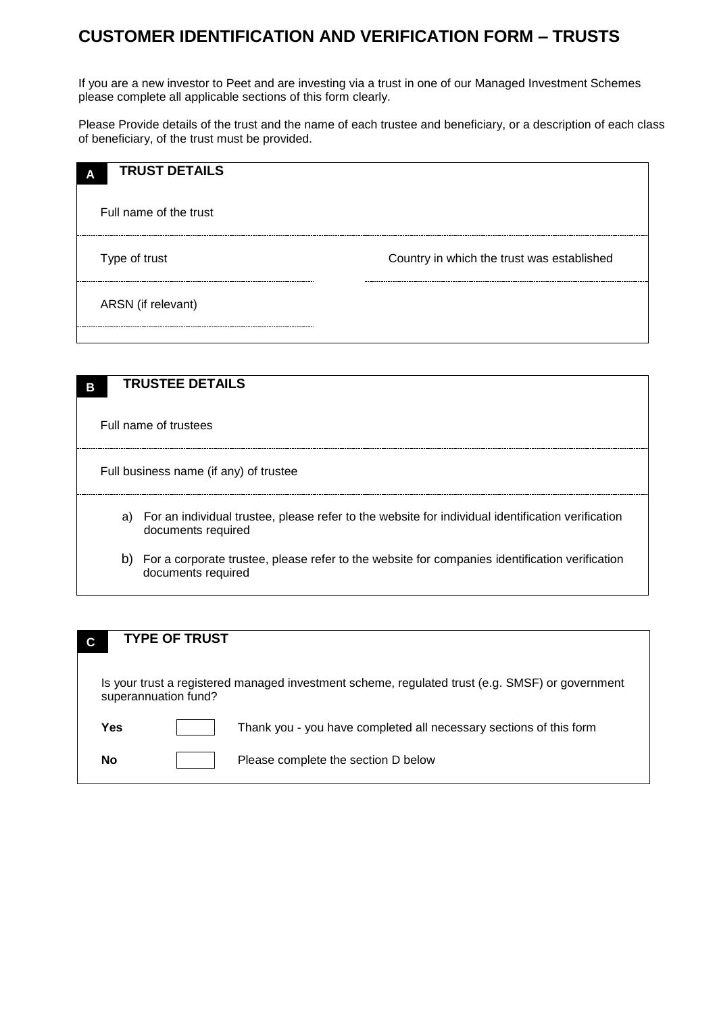## **CUSTOMER IDENTIFICATION AND VERIFICATION FORM – TRUSTS**

If you are a new investor to Peet and are investing via a trust in one of our Managed Investment Schemes please complete all applicable sections of this form clearly.

Please Provide details of the trust and the name of each trustee and beneficiary, or a description of each class of beneficiary, of the trust must be provided.

| <b>TRUST DETAILS</b><br>A |                                            |
|---------------------------|--------------------------------------------|
| Full name of the trust    |                                            |
| Type of trust             | Country in which the trust was established |
| ARSN (if relevant)        |                                            |
|                           |                                            |

| В                     | <b>TRUSTEE DETAILS</b>                                                                                                     |  |  |  |
|-----------------------|----------------------------------------------------------------------------------------------------------------------------|--|--|--|
| Full name of trustees |                                                                                                                            |  |  |  |
|                       | Full business name (if any) of trustee                                                                                     |  |  |  |
|                       | a) For an individual trustee, please refer to the website for individual identification verification<br>documents required |  |  |  |
|                       | b) For a corporate trustee, please refer to the website for companies identification verification<br>documents required    |  |  |  |

| С                                                                                                                       | <b>TYPE OF TRUST</b> |                                                                    |  |  |
|-------------------------------------------------------------------------------------------------------------------------|----------------------|--------------------------------------------------------------------|--|--|
| Is your trust a registered managed investment scheme, regulated trust (e.g. SMSF) or government<br>superannuation fund? |                      |                                                                    |  |  |
| Yes                                                                                                                     |                      | Thank you - you have completed all necessary sections of this form |  |  |
| No                                                                                                                      |                      | Please complete the section D below                                |  |  |